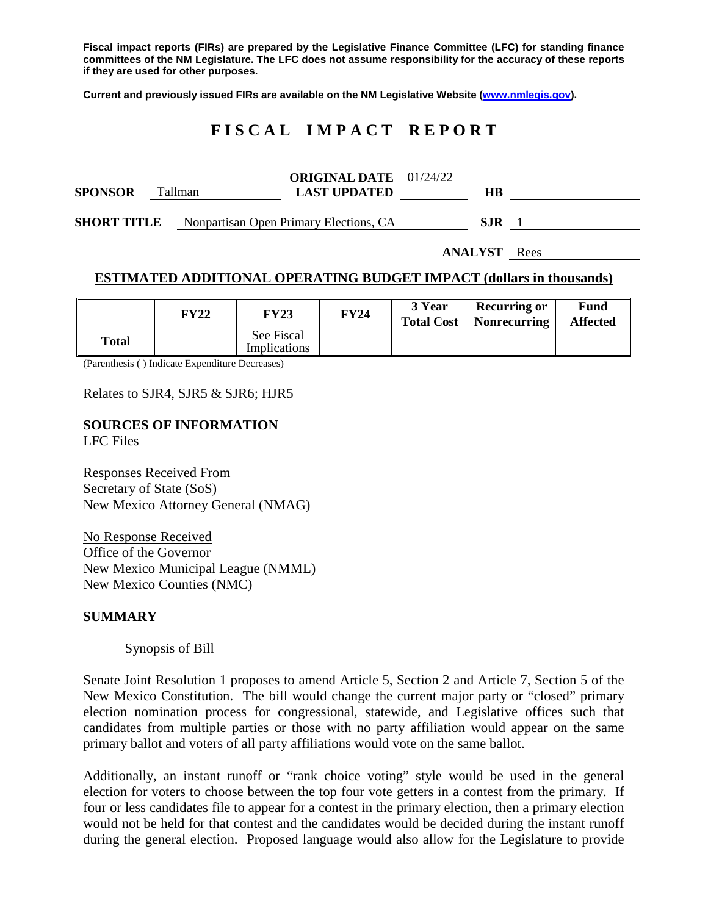**Fiscal impact reports (FIRs) are prepared by the Legislative Finance Committee (LFC) for standing finance committees of the NM Legislature. The LFC does not assume responsibility for the accuracy of these reports if they are used for other purposes.**

**Current and previously issued FIRs are available on the NM Legislative Website [\(www.nmlegis.gov\)](http://www.nmlegis.gov/).**

# **F I S C A L I M P A C T R E P O R T**

| <b>SPONSOR</b>     |  | Tallman                                | <b>ORIGINAL DATE</b> $01/24/22$<br><b>LAST UPDATED</b> |  | HВ   |  |
|--------------------|--|----------------------------------------|--------------------------------------------------------|--|------|--|
| <b>SHORT TITLE</b> |  | Nonpartisan Open Primary Elections, CA |                                                        |  | S.IR |  |

**ANALYST** Rees

## **ESTIMATED ADDITIONAL OPERATING BUDGET IMPACT (dollars in thousands)**

|       | FY22 | FY23                              | <b>FY24</b> | 3 Year<br><b>Total Cost</b> | <b>Recurring or</b><br>Nonrecurring | Fund<br><b>Affected</b> |
|-------|------|-----------------------------------|-------------|-----------------------------|-------------------------------------|-------------------------|
| Total |      | See Fiscal<br><b>Implications</b> |             |                             |                                     |                         |

(Parenthesis ( ) Indicate Expenditure Decreases)

Relates to SJR4, SJR5 & SJR6; HJR5

#### **SOURCES OF INFORMATION** LFC Files

Responses Received From Secretary of State (SoS) New Mexico Attorney General (NMAG)

No Response Received Office of the Governor New Mexico Municipal League (NMML) New Mexico Counties (NMC)

#### **SUMMARY**

#### Synopsis of Bill

Senate Joint Resolution 1 proposes to amend Article 5, Section 2 and Article 7, Section 5 of the New Mexico Constitution. The bill would change the current major party or "closed" primary election nomination process for congressional, statewide, and Legislative offices such that candidates from multiple parties or those with no party affiliation would appear on the same primary ballot and voters of all party affiliations would vote on the same ballot.

Additionally, an instant runoff or "rank choice voting" style would be used in the general election for voters to choose between the top four vote getters in a contest from the primary. If four or less candidates file to appear for a contest in the primary election, then a primary election would not be held for that contest and the candidates would be decided during the instant runoff during the general election. Proposed language would also allow for the Legislature to provide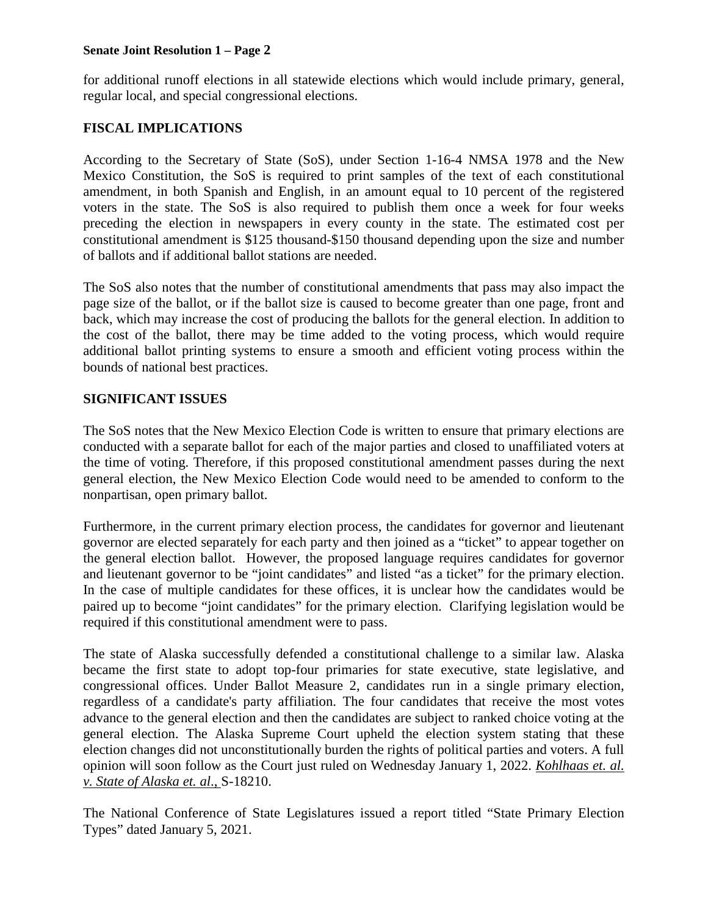### **Senate Joint Resolution 1 – Page 2**

for additional runoff elections in all statewide elections which would include primary, general, regular local, and special congressional elections.

# **FISCAL IMPLICATIONS**

According to the Secretary of State (SoS), under Section 1-16-4 NMSA 1978 and the New Mexico Constitution, the SoS is required to print samples of the text of each constitutional amendment, in both Spanish and English, in an amount equal to 10 percent of the registered voters in the state. The SoS is also required to publish them once a week for four weeks preceding the election in newspapers in every county in the state. The estimated cost per constitutional amendment is \$125 thousand-\$150 thousand depending upon the size and number of ballots and if additional ballot stations are needed.

The SoS also notes that the number of constitutional amendments that pass may also impact the page size of the ballot, or if the ballot size is caused to become greater than one page, front and back, which may increase the cost of producing the ballots for the general election. In addition to the cost of the ballot, there may be time added to the voting process, which would require additional ballot printing systems to ensure a smooth and efficient voting process within the bounds of national best practices.

## **SIGNIFICANT ISSUES**

The SoS notes that the New Mexico Election Code is written to ensure that primary elections are conducted with a separate ballot for each of the major parties and closed to unaffiliated voters at the time of voting. Therefore, if this proposed constitutional amendment passes during the next general election, the New Mexico Election Code would need to be amended to conform to the nonpartisan, open primary ballot.

Furthermore, in the current primary election process, the candidates for governor and lieutenant governor are elected separately for each party and then joined as a "ticket" to appear together on the general election ballot. However, the proposed language requires candidates for governor and lieutenant governor to be "joint candidates" and listed "as a ticket" for the primary election. In the case of multiple candidates for these offices, it is unclear how the candidates would be paired up to become "joint candidates" for the primary election. Clarifying legislation would be required if this constitutional amendment were to pass.

The state of Alaska successfully defended a constitutional challenge to a similar law. Alaska became the first state to adopt top-four primaries for state executive, state legislative, and congressional offices. Under Ballot Measure 2, candidates run in a single primary election, regardless of a candidate's party affiliation. The four candidates that receive the most votes advance to the general election and then the candidates are subject to ranked choice voting at the general election. The Alaska Supreme Court upheld the election system stating that these election changes did not unconstitutionally burden the rights of political parties and voters. A full opinion will soon follow as the Court just ruled on Wednesday January 1, 2022. *Kohlhaas et. al. v. State of Alaska et. al*., S-18210.

The National Conference of State Legislatures issued a report titled "State Primary Election Types" dated January 5, 2021.